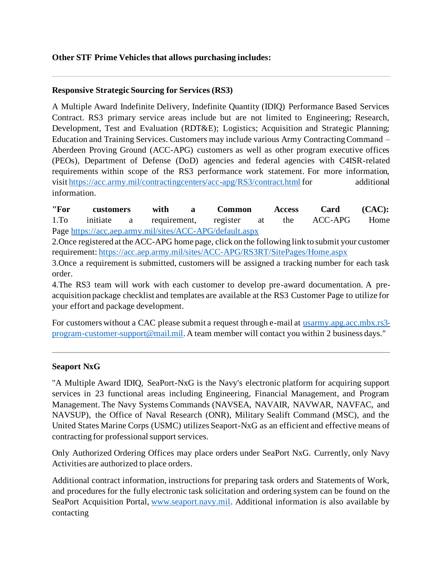#### **Other STF Prime Vehicles that allows purchasing includes:**

### **Responsive Strategic Sourcing for Services (RS3)**

A Multiple Award Indefinite Delivery, Indefinite Quantity (IDIQ) Performance Based Services Contract. RS3 primary service areas include but are not limited to Engineering; Research, Development, Test and Evaluation (RDT&E); Logistics; Acquisition and Strategic Planning; Education and Training Services. Customers may include various Army Contracting Command – Aberdeen Proving Ground (ACC-APG) customers as well as other program executive offices (PEOs), Department of Defense (DoD) agencies and federal agencies with C4ISR-related requirements within scope of the RS3 performance work statement. For more information, visit <https://acc.army.mil/contractingcenters/acc-apg/RS3/contract.html> for additional information.

**"For customers with a Common Access Card (CAC):** 1.To initiate a requirement, register at the ACC-APG Home Page <https://acc.aep.army.mil/sites/ACC-APG/default.aspx>

2.Once registered at the ACC-APG home page, click on the following link to submit your customer requirement: <https://acc.aep.army.mil/sites/ACC-APG/RS3RT/SitePages/Home.aspx>

3.Once a requirement is submitted, customers will be assigned a tracking number for each task order.

4.The RS3 team will work with each customer to develop pre-award documentation. A preacquisition package checklist and templates are available at the RS3 Customer Page to utilize for your effort and package development.

For customers without a CAC please submit a request through e-mail at [usarmy.apg.acc.mbx.rs3](mailto:usarmy.apg.acc.mbx.rs3-program-customer-support@mail.mil) [program-customer-support@mail.mil](mailto:usarmy.apg.acc.mbx.rs3-program-customer-support@mail.mil). A team member will contact you within 2 business days."

#### **Seaport NxG**

"A Multiple Award IDIQ, SeaPort-NxG is the Navy's electronic platform for acquiring support services in 23 functional areas including Engineering, Financial Management, and Program Management. The Navy Systems Commands (NAVSEA, NAVAIR, NAVWAR, NAVFAC, and NAVSUP), the Office of Naval Research (ONR), Military Sealift Command (MSC), and the United States Marine Corps (USMC) utilizes Seaport-NxG as an efficient and effective means of contracting for professional support services.

Only Authorized Ordering Offices may place orders under SeaPort NxG. Currently, only Navy Activities are authorized to place orders.

Additional contract information, instructions for preparing task orders and Statements of Work, and procedures for the fully electronic task solicitation and ordering system can be found on the SeaPort Acquisition Portal, [www.seaport.navy.mil.](http://www.seaport.navy.mil/) Additional information is also available by contacting